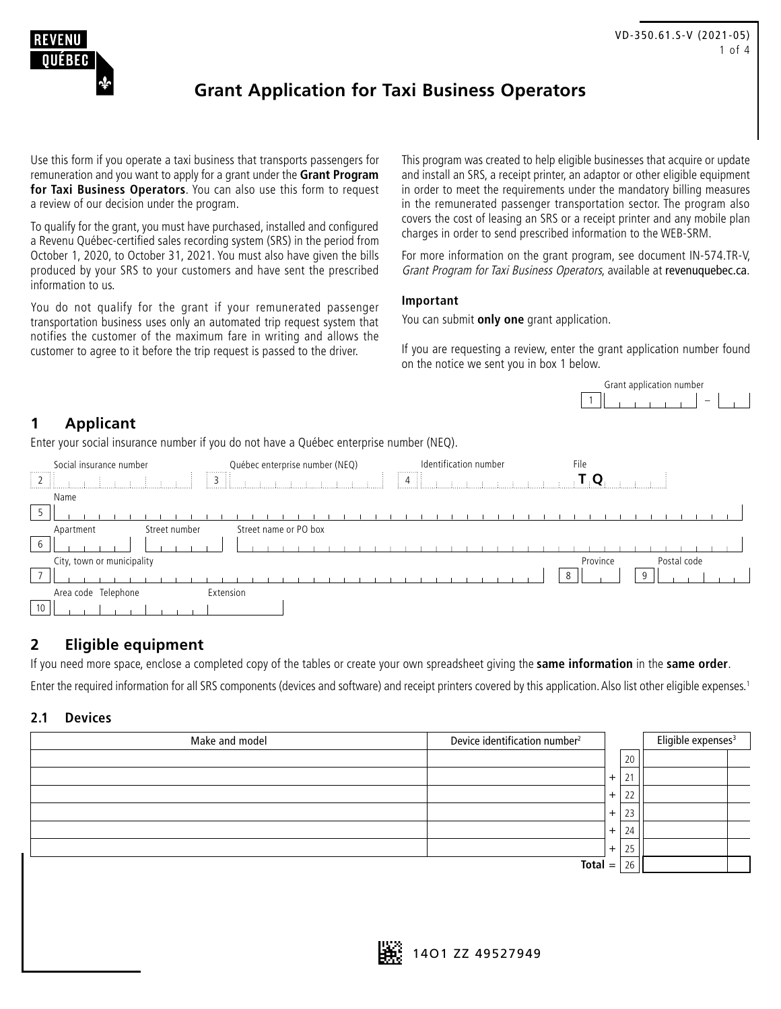<span id="page-0-0"></span>

## **Grant Application for Taxi Business Operators**

Use this form if you operate a taxi business that transports passengers for remuneration and you want to apply for a grant under the **Grant Program for Taxi Business Operators**. You can also use this form to request a review of our decision under the program.

To qualify for the grant, you must have purchased, installed and configured a Revenu Québec-certified sales recording system (SRS) in the period from October 1, 2020, to October 31, 2021. You must also have given the bills produced by your SRS to your customers and have sent the prescribed information to us.

You do not qualify for the grant if your remunerated passenger transportation business uses only an automated trip request system that notifies the customer of the maximum fare in writing and allows the customer to agree to it before the trip request is passed to the driver.

This program was created to help eligible businesses that acquire or update and install an SRS, a receipt printer, an adaptor or other eligible equipment in order to meet the requirements under the mandatory billing measures in the remunerated passenger transportation sector. The program also covers the cost of leasing an SRS or a receipt printer and any mobile plan charges in order to send prescribed information to the WEB-SRM.

For more information on the grant program, see document IN-574.TR-V, Grant Program for Taxi Business Operators, available at [revenuquebec.ca](https://www.revenuquebec.ca/en/).

#### **Important**

You can submit **only one** grant application.

If you are requesting a review, enter the grant application number found on the notice we sent you in box 1 below.



### **1 Applicant**

Enter your social insurance number if you do not have a Québec enterprise number (NEQ).

| ,,,,,,,,,          | Social insurance number    | ,,,,,,,,,,           | Québec enterprise number (NEQ) |  |  | ,,,,,,,,,,,, | Identification number |  |  |  | File |          |  |   |  |             |  |  |
|--------------------|----------------------------|----------------------|--------------------------------|--|--|--------------|-----------------------|--|--|--|------|----------|--|---|--|-------------|--|--|
| $\parallel$ 2<br>. |                            | $\frac{1}{2}$ 3<br>Ħ |                                |  |  | 4            |                       |  |  |  |      |          |  |   |  |             |  |  |
|                    | Name                       |                      |                                |  |  |              |                       |  |  |  |      |          |  |   |  |             |  |  |
| כ                  |                            |                      |                                |  |  |              |                       |  |  |  |      |          |  |   |  |             |  |  |
|                    | Street number<br>Apartment |                      | Street name or PO box          |  |  |              |                       |  |  |  |      |          |  |   |  |             |  |  |
| 6                  |                            |                      |                                |  |  |              |                       |  |  |  |      |          |  |   |  |             |  |  |
|                    | City, town or municipality |                      |                                |  |  |              |                       |  |  |  |      | Province |  |   |  | Postal code |  |  |
| $\overline{ }$     |                            |                      |                                |  |  |              |                       |  |  |  | 8    |          |  | q |  |             |  |  |
|                    | Area code Telephone        | Extension            |                                |  |  |              |                       |  |  |  |      |          |  |   |  |             |  |  |
| 10                 |                            |                      |                                |  |  |              |                       |  |  |  |      |          |  |   |  |             |  |  |

#### **2 Eligible equipment**

If you need more space, enclose a completed copy of the tables or create your own spreadsheet giving the **same information** in the **same order**.

Enter the required information for all SRS components (devices and software) and receipt printers covered by this application. Also list other eligible expenses.<sup>1</sup>

#### **2.1 Devices**

| Make and model | Device identification number <sup>2</sup> |                |    | Eligible expenses <sup>3</sup> |
|----------------|-------------------------------------------|----------------|----|--------------------------------|
|                |                                           |                | 20 |                                |
|                |                                           | $\ddot{}$      | 21 |                                |
|                |                                           | $\overline{+}$ | 22 |                                |
|                |                                           | $+$            | 23 |                                |
|                |                                           | $+$            | 24 |                                |
|                |                                           | $+$            | 25 |                                |
|                | $Total =$                                 | 26             |    |                                |

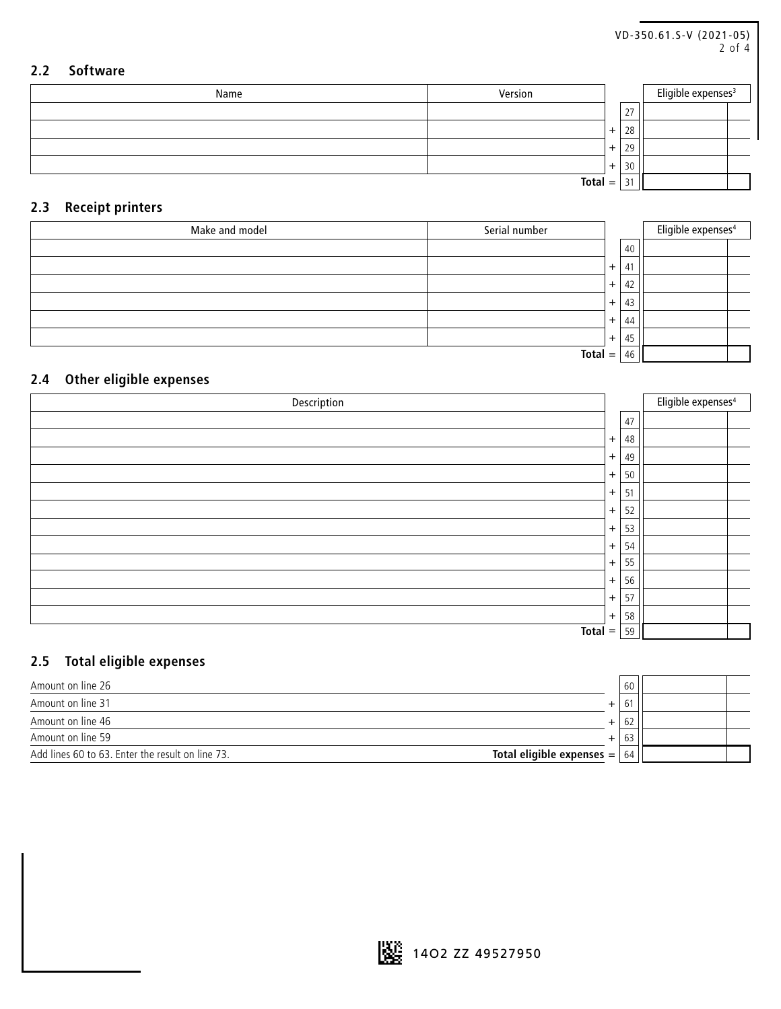<span id="page-1-0"></span>

|     |                 | VD-350.61.S-V (2021-05)<br>$2$ of $4$ |     |    |                                |  |
|-----|-----------------|---------------------------------------|-----|----|--------------------------------|--|
| 2.2 | <b>Software</b> |                                       |     |    |                                |  |
|     | Name            | Version                               |     |    | Eligible expenses <sup>3</sup> |  |
|     |                 |                                       |     | 27 |                                |  |
|     |                 |                                       | $+$ | 28 |                                |  |
|     |                 |                                       | $+$ | 29 |                                |  |
|     |                 |                                       | $+$ | 30 |                                |  |
|     |                 | $Total =$                             |     | 31 |                                |  |

### **2.3 Receipt printers**

| Make and model | Serial number |           |      | Eligible expenses <sup>4</sup> |
|----------------|---------------|-----------|------|--------------------------------|
|                |               |           | 40   |                                |
|                |               | $\ddot{}$ | 41   |                                |
|                |               | $+$       | 42   |                                |
|                |               | $+$       | 43   |                                |
|                |               | $+$       | 44   |                                |
|                |               | $+$       | , 45 |                                |
|                | <b>Total</b>  | $=$       | 46   |                                |

### **2.4 Other eligible expenses**

| Description  |     |    | Eligible expenses <sup>4</sup> |
|--------------|-----|----|--------------------------------|
|              |     | 47 |                                |
|              | $+$ | 48 |                                |
|              | $+$ | 49 |                                |
|              | $+$ | 50 |                                |
|              | $+$ | 51 |                                |
|              | $+$ | 52 |                                |
|              | $+$ | 53 |                                |
|              | $+$ | 54 |                                |
|              | $+$ | 55 |                                |
|              | $+$ | 56 |                                |
|              | $+$ | 57 |                                |
|              | $+$ | 58 |                                |
| <b>Total</b> | $=$ | 59 |                                |

### **2.5 Total eligible expenses**

| Amount on line 26                                                                   |        | 60  |  |
|-------------------------------------------------------------------------------------|--------|-----|--|
| Amount on line 31                                                                   | b<br>+ |     |  |
| Amount on line 46                                                                   | ÷      | -62 |  |
| Amount on line 59                                                                   | ÷      | ხ3  |  |
| Total eligible expenses $=$ $ $<br>Add lines 60 to 63. Enter the result on line 73. |        | 64  |  |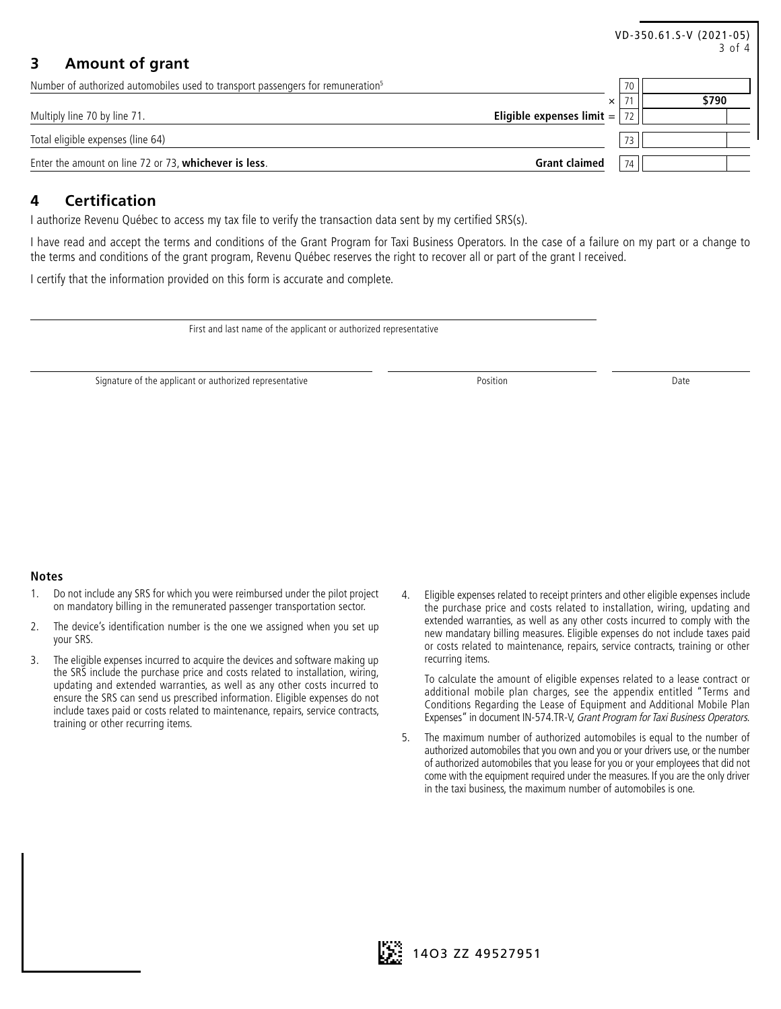<span id="page-2-0"></span>

|                                                                                             |                             |                 | VD-350.61.S-V (2021-05)<br>3 of 4 |
|---------------------------------------------------------------------------------------------|-----------------------------|-----------------|-----------------------------------|
| <b>Amount of grant</b>                                                                      |                             |                 |                                   |
| Number of authorized automobiles used to transport passengers for remuneration <sup>5</sup> |                             | 70              |                                   |
|                                                                                             | $\times$                    |                 | \$790                             |
| Multiply line 70 by line 71.                                                                | Eligible expenses $limit =$ |                 |                                   |
| Total eligible expenses (line 64)                                                           |                             | 73 <sub>1</sub> |                                   |
| Enter the amount on line 72 or 73, whichever is less.                                       | <b>Grant claimed</b>        | 74              |                                   |

#### **4 Certification**

I authorize Revenu Québec to access my tax file to verify the transaction data sent by my certified SRS(s).

I have read and accept the terms and conditions of the Grant Program for Taxi Business Operators. In the case of a failure on my part or a change to the terms and conditions of the grant program, Revenu Québec reserves the right to recover all or part of the grant I received.

I certify that the information provided on this form is accurate and complete.

First and last name of the applicant or authorized representative

Signature of the applicant or authorized representative **Position** Position **Position** Date

#### **Notes**

- [1](#page-0-0). Do not include any SRS for which you were reimbursed under the pilot project on mandatory billing in the remunerated passenger transportation sector.
- [2](#page-0-0). The device's identification number is the one we assigned when you set up your SRS.
- [3](#page-0-0). The eligible expenses incurred to acquire the devices and software making up the SRS include the purchase price and costs related to installation, wiring, updating and extended warranties, as well as any other costs incurred to ensure the SRS can send us prescribed information. Eligible expenses do not include taxes paid or costs related to maintenance, repairs, service contracts, training or other recurring items.
- [4](#page-1-0). Eligible expenses related to receipt printers and other eligible expenses include the purchase price and costs related to installation, wiring, updating and extended warranties, as well as any other costs incurred to comply with the new mandatary billing measures. Eligible expenses do not include taxes paid or costs related to maintenance, repairs, service contracts, training or other recurring items.

To calculate the amount of eligible expenses related to a lease contract or additional mobile plan charges, see the appendix entitled "Terms and Conditions Regarding the Lease of Equipment and Additional Mobile Plan Expenses" in document IN-574.TR-V, Grant Program for Taxi Business Operators.

5. The maximum number of authorized automobiles is equal to the number of authorized automobiles that you own and you or your drivers use, or the number of authorized automobiles that you lease for you or your employees that did not come with the equipment required under the measures. If you are the only driver in the taxi business, the maximum number of automobiles is one.